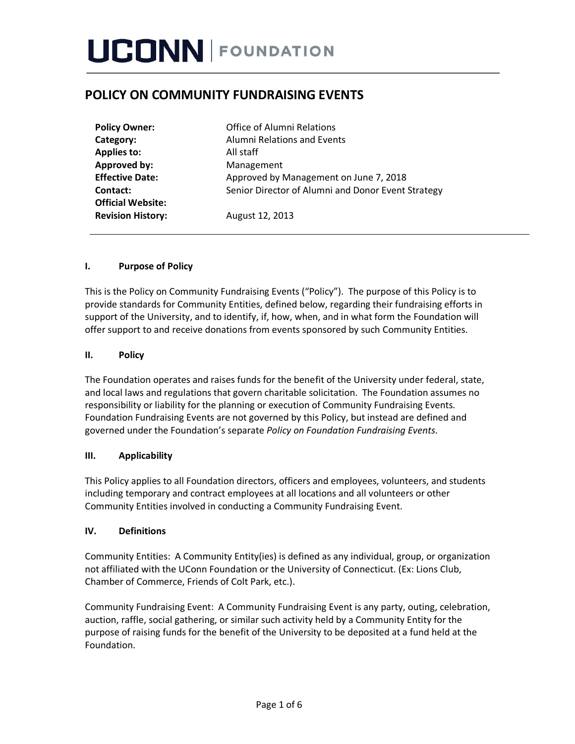# **POLICY ON COMMUNITY FUNDRAISING EVENTS**

| <b>Policy Owner:</b>     | <b>Office of Alumni Relations</b>                  |
|--------------------------|----------------------------------------------------|
| Category:                | <b>Alumni Relations and Events</b>                 |
| <b>Applies to:</b>       | All staff                                          |
| Approved by:             | Management                                         |
| <b>Effective Date:</b>   | Approved by Management on June 7, 2018             |
| Contact:                 | Senior Director of Alumni and Donor Event Strategy |
| <b>Official Website:</b> |                                                    |
| <b>Revision History:</b> | August 12, 2013                                    |

### **I. Purpose of Policy**

This is the Policy on Community Fundraising Events ("Policy"). The purpose of this Policy is to provide standards for Community Entities, defined below, regarding their fundraising efforts in support of the University, and to identify, if, how, when, and in what form the Foundation will offer support to and receive donations from events sponsored by such Community Entities.

### **II. Policy**

The Foundation operates and raises funds for the benefit of the University under federal, state, and local laws and regulations that govern charitable solicitation. The Foundation assumes no responsibility or liability for the planning or execution of Community Fundraising Events. Foundation Fundraising Events are not governed by this Policy, but instead are defined and governed under the Foundation's separate *Policy on Foundation Fundraising Events*.

### **III. Applicability**

This Policy applies to all Foundation directors, officers and employees, volunteers, and students including temporary and contract employees at all locations and all volunteers or other Community Entities involved in conducting a Community Fundraising Event.

### **IV. Definitions**

Community Entities: A Community Entity(ies) is defined as any individual, group, or organization not affiliated with the UConn Foundation or the University of Connecticut. (Ex: Lions Club, Chamber of Commerce, Friends of Colt Park, etc.).

Community Fundraising Event: A Community Fundraising Event is any party, outing, celebration, auction, raffle, social gathering, or similar such activity held by a Community Entity for the purpose of raising funds for the benefit of the University to be deposited at a fund held at the Foundation.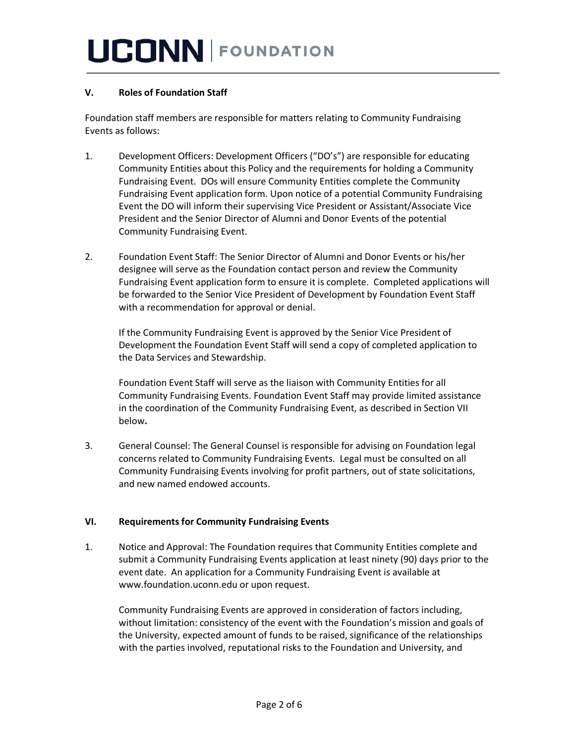## **V. Roles of Foundation Staff**

Foundation staff members are responsible for matters relating to Community Fundraising Events as follows:

- 1. Development Officers: Development Officers ("DO's") are responsible for educating Community Entities about this Policy and the requirements for holding a Community Fundraising Event. DOs will ensure Community Entities complete the Community Fundraising Event application form. Upon notice of a potential Community Fundraising Event the DO will inform their supervising Vice President or Assistant/Associate Vice President and the Senior Director of Alumni and Donor Events of the potential Community Fundraising Event.
- 2. Foundation Event Staff: The Senior Director of Alumni and Donor Events or his/her designee will serve as the Foundation contact person and review the Community Fundraising Event application form to ensure it is complete. Completed applications will be forwarded to the Senior Vice President of Development by Foundation Event Staff with a recommendation for approval or denial.

If the Community Fundraising Event is approved by the Senior Vice President of Development the Foundation Event Staff will send a copy of completed application to the Data Services and Stewardship.

Foundation Event Staff will serve as the liaison with Community Entities for all Community Fundraising Events. Foundation Event Staff may provide limited assistance in the coordination of the Community Fundraising Event, as described in Section VII below**.** 

3. General Counsel: The General Counsel is responsible for advising on Foundation legal concerns related to Community Fundraising Events. Legal must be consulted on all Community Fundraising Events involving for profit partners, out of state solicitations, and new named endowed accounts.

### **VI. Requirements for Community Fundraising Events**

1. Notice and Approval: The Foundation requires that Community Entities complete and submit a Community Fundraising Events application at least ninety (90) days prior to the event date. An application for a Community Fundraising Event is available at www.foundation.uconn.edu or upon request.

Community Fundraising Events are approved in consideration of factors including, without limitation: consistency of the event with the Foundation's mission and goals of the University, expected amount of funds to be raised, significance of the relationships with the parties involved, reputational risks to the Foundation and University, and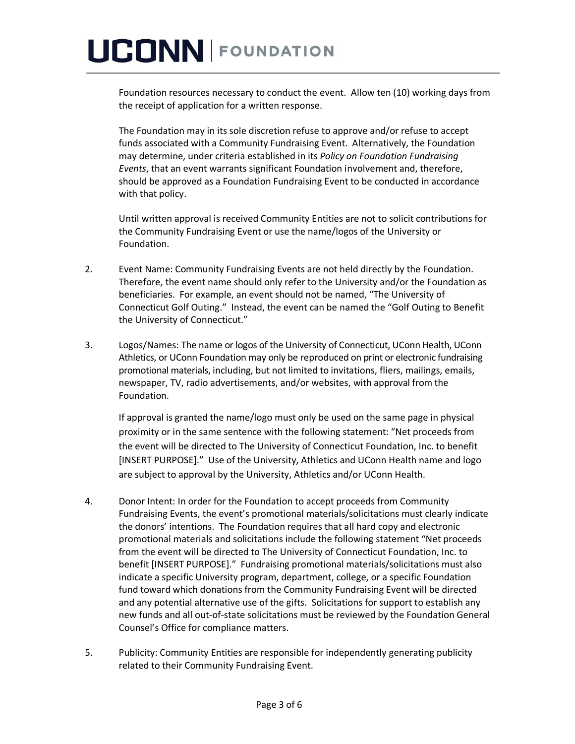# **UCONN FOUNDATION**

Foundation resources necessary to conduct the event. Allow ten (10) working days from the receipt of application for a written response.

The Foundation may in its sole discretion refuse to approve and/or refuse to accept funds associated with a Community Fundraising Event. Alternatively, the Foundation may determine, under criteria established in its *Policy on Foundation Fundraising Events*, that an event warrants significant Foundation involvement and, therefore, should be approved as a Foundation Fundraising Event to be conducted in accordance with that policy.

Until written approval is received Community Entities are not to solicit contributions for the Community Fundraising Event or use the name/logos of the University or Foundation.

- 2. Event Name: Community Fundraising Events are not held directly by the Foundation. Therefore, the event name should only refer to the University and/or the Foundation as beneficiaries. For example, an event should not be named, "The University of Connecticut Golf Outing." Instead, the event can be named the "Golf Outing to Benefit the University of Connecticut."
- 3. Logos/Names: The name or logos of the University of Connecticut, UConn Health, UConn Athletics, or UConn Foundation may only be reproduced on print or electronic fundraising promotional materials, including, but not limited to invitations, fliers, mailings, emails, newspaper, TV, radio advertisements, and/or websites, with approval from the Foundation.

If approval is granted the name/logo must only be used on the same page in physical proximity or in the same sentence with the following statement: "Net proceeds from the event will be directed to The University of Connecticut Foundation, Inc. to benefit [INSERT PURPOSE]." Use of the University, Athletics and UConn Health name and logo are subject to approval by the University, Athletics and/or UConn Health.

- 4. Donor Intent: In order for the Foundation to accept proceeds from Community Fundraising Events, the event's promotional materials/solicitations must clearly indicate the donors' intentions. The Foundation requires that all hard copy and electronic promotional materials and solicitations include the following statement "Net proceeds from the event will be directed to The University of Connecticut Foundation, Inc. to benefit [INSERT PURPOSE]." Fundraising promotional materials/solicitations must also indicate a specific University program, department, college, or a specific Foundation fund toward which donations from the Community Fundraising Event will be directed and any potential alternative use of the gifts. Solicitations for support to establish any new funds and all out-of-state solicitations must be reviewed by the Foundation General Counsel's Office for compliance matters.
- 5. Publicity: Community Entities are responsible for independently generating publicity related to their Community Fundraising Event.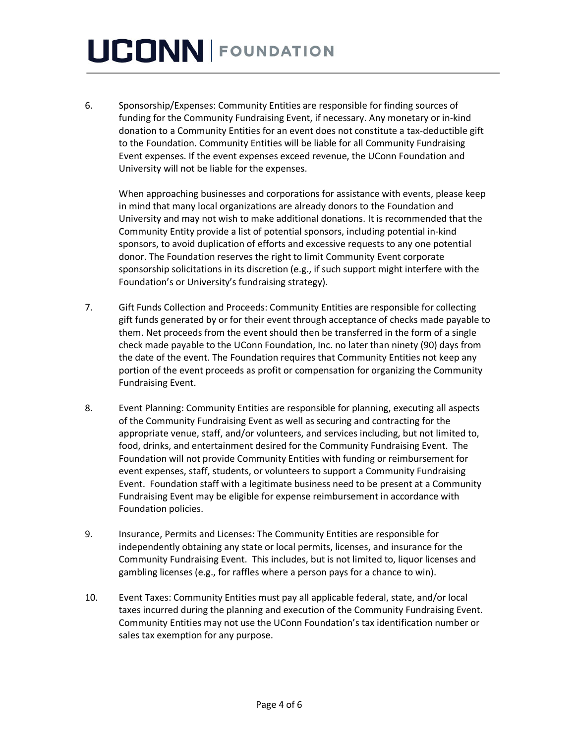# **UCONN FOUNDATION**

6. Sponsorship/Expenses: Community Entities are responsible for finding sources of funding for the Community Fundraising Event, if necessary. Any monetary or in-kind donation to a Community Entities for an event does not constitute a tax-deductible gift to the Foundation. Community Entities will be liable for all Community Fundraising Event expenses. If the event expenses exceed revenue, the UConn Foundation and University will not be liable for the expenses.

When approaching businesses and corporations for assistance with events, please keep in mind that many local organizations are already donors to the Foundation and University and may not wish to make additional donations. It is recommended that the Community Entity provide a list of potential sponsors, including potential in-kind sponsors, to avoid duplication of efforts and excessive requests to any one potential donor. The Foundation reserves the right to limit Community Event corporate sponsorship solicitations in its discretion (e.g., if such support might interfere with the Foundation's or University's fundraising strategy).

- 7. Gift Funds Collection and Proceeds: Community Entities are responsible for collecting gift funds generated by or for their event through acceptance of checks made payable to them. Net proceeds from the event should then be transferred in the form of a single check made payable to the UConn Foundation, Inc. no later than ninety (90) days from the date of the event. The Foundation requires that Community Entities not keep any portion of the event proceeds as profit or compensation for organizing the Community Fundraising Event.
- 8. Event Planning: Community Entities are responsible for planning, executing all aspects of the Community Fundraising Event as well as securing and contracting for the appropriate venue, staff, and/or volunteers, and services including, but not limited to, food, drinks, and entertainment desired for the Community Fundraising Event. The Foundation will not provide Community Entities with funding or reimbursement for event expenses, staff, students, or volunteers to support a Community Fundraising Event. Foundation staff with a legitimate business need to be present at a Community Fundraising Event may be eligible for expense reimbursement in accordance with Foundation policies.
- 9. Insurance, Permits and Licenses: The Community Entities are responsible for independently obtaining any state or local permits, licenses, and insurance for the Community Fundraising Event. This includes, but is not limited to, liquor licenses and gambling licenses (e.g., for raffles where a person pays for a chance to win).
- 10. Event Taxes: Community Entities must pay all applicable federal, state, and/or local taxes incurred during the planning and execution of the Community Fundraising Event. Community Entities may not use the UConn Foundation's tax identification number or sales tax exemption for any purpose.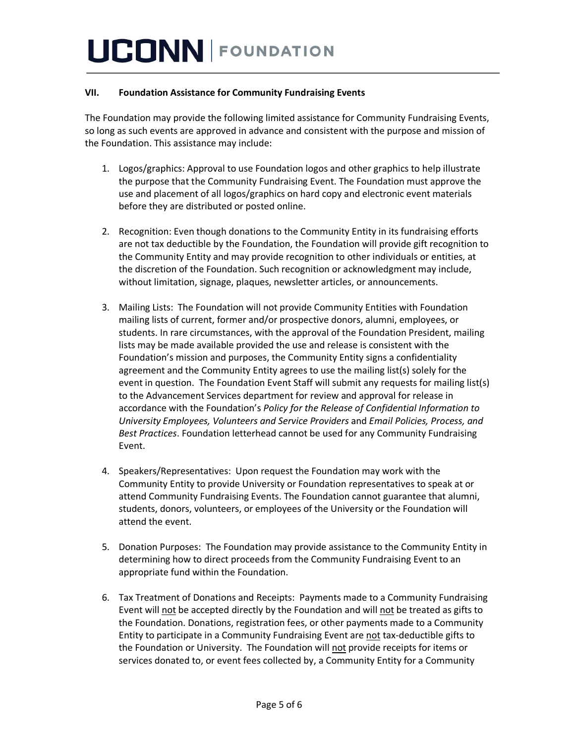## **VII. Foundation Assistance for Community Fundraising Events**

The Foundation may provide the following limited assistance for Community Fundraising Events, so long as such events are approved in advance and consistent with the purpose and mission of the Foundation. This assistance may include:

- 1. Logos/graphics: Approval to use Foundation logos and other graphics to help illustrate the purpose that the Community Fundraising Event. The Foundation must approve the use and placement of all logos/graphics on hard copy and electronic event materials before they are distributed or posted online.
- 2. Recognition: Even though donations to the Community Entity in its fundraising efforts are not tax deductible by the Foundation, the Foundation will provide gift recognition to the Community Entity and may provide recognition to other individuals or entities, at the discretion of the Foundation. Such recognition or acknowledgment may include, without limitation, signage, plaques, newsletter articles, or announcements.
- 3. Mailing Lists: The Foundation will not provide Community Entities with Foundation mailing lists of current, former and/or prospective donors, alumni, employees, or students. In rare circumstances, with the approval of the Foundation President, mailing lists may be made available provided the use and release is consistent with the Foundation's mission and purposes, the Community Entity signs a confidentiality agreement and the Community Entity agrees to use the mailing list(s) solely for the event in question. The Foundation Event Staff will submit any requests for mailing list(s) to the Advancement Services department for review and approval for release in accordance with the Foundation's *Policy for the Release of Confidential Information to University Employees, Volunteers and Service Providers* and *Email Policies, Process, and Best Practices*. Foundation letterhead cannot be used for any Community Fundraising Event.
- 4. Speakers/Representatives: Upon request the Foundation may work with the Community Entity to provide University or Foundation representatives to speak at or attend Community Fundraising Events. The Foundation cannot guarantee that alumni, students, donors, volunteers, or employees of the University or the Foundation will attend the event.
- 5. Donation Purposes: The Foundation may provide assistance to the Community Entity in determining how to direct proceeds from the Community Fundraising Event to an appropriate fund within the Foundation.
- 6. Tax Treatment of Donations and Receipts: Payments made to a Community Fundraising Event will not be accepted directly by the Foundation and will not be treated as gifts to the Foundation. Donations, registration fees, or other payments made to a Community Entity to participate in a Community Fundraising Event are not tax-deductible gifts to the Foundation or University. The Foundation will not provide receipts for items or services donated to, or event fees collected by, a Community Entity for a Community